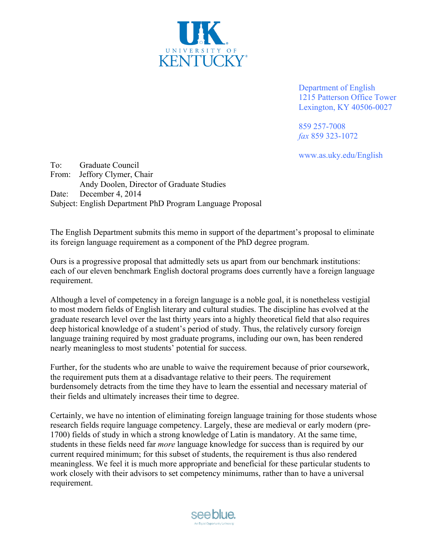

Department of English 1215 Patterson Office Tower Lexington, KY 40506-0027

859 257-7008 *fax* 859 323-1072

www.as.uky.edu/English

To: Graduate Council From: Jeffory Clymer, Chair Andy Doolen, Director of Graduate Studies Date: December 4, 2014 Subject: English Department PhD Program Language Proposal

The English Department submits this memo in support of the department's proposal to eliminate its foreign language requirement as a component of the PhD degree program.

Ours is a progressive proposal that admittedly sets us apart from our benchmark institutions: each of our eleven benchmark English doctoral programs does currently have a foreign language requirement.

Although a level of competency in a foreign language is a noble goal, it is nonetheless vestigial to most modern fields of English literary and cultural studies. The discipline has evolved at the graduate research level over the last thirty years into a highly theoretical field that also requires deep historical knowledge of a student's period of study. Thus, the relatively cursory foreign language training required by most graduate programs, including our own, has been rendered nearly meaningless to most students' potential for success.

Further, for the students who are unable to waive the requirement because of prior coursework, the requirement puts them at a disadvantage relative to their peers. The requirement burdensomely detracts from the time they have to learn the essential and necessary material of their fields and ultimately increases their time to degree.

Certainly, we have no intention of eliminating foreign language training for those students whose research fields require language competency. Largely, these are medieval or early modern (pre-1700) fields of study in which a strong knowledge of Latin is mandatory. At the same time, students in these fields need far *more* language knowledge for success than is required by our current required minimum; for this subset of students, the requirement is thus also rendered meaningless. We feel it is much more appropriate and beneficial for these particular students to work closely with their advisors to set competency minimums, rather than to have a universal requirement.

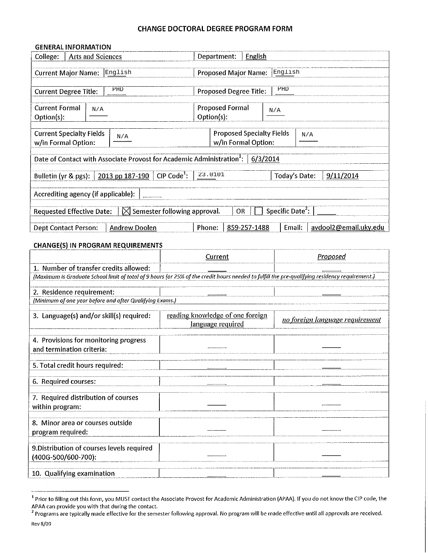#### **CHANGE DOCTORAL DEGREE PROGRAM FORM**

#### **GENERAL INFORMATION**

| Arts and Sciences<br>College:                                                                                                                                                            |               | English<br>Department:                                         |                                 |  |  |  |  |
|------------------------------------------------------------------------------------------------------------------------------------------------------------------------------------------|---------------|----------------------------------------------------------------|---------------------------------|--|--|--|--|
| English<br><b>Current Major Name:</b>                                                                                                                                                    |               | English<br><b>Proposed Major Name:</b>                         |                                 |  |  |  |  |
| PHD<br><b>Current Degree Title:</b>                                                                                                                                                      |               | PHD<br>Proposed Degree Title:                                  |                                 |  |  |  |  |
| <b>Current Formal</b><br>N/A<br>Option(s):                                                                                                                                               |               | <b>Proposed Formal</b><br>Option(s):                           | N/A                             |  |  |  |  |
| <b>Current Specialty Fields</b><br>N/A<br>w/in Formal Option:                                                                                                                            |               | <b>Proposed Specialty Fields</b><br>N/A<br>w/in Formal Option: |                                 |  |  |  |  |
| Date of Contact with Associate Provost for Academic Administration <sup>1</sup> :<br>6/3/2014                                                                                            |               |                                                                |                                 |  |  |  |  |
| 2013 pp 187-190<br>Bulletin (yr & pgs):                                                                                                                                                  | $CIP Code1$ : | 23.0101                                                        | Today's Date:<br>9/11/2014      |  |  |  |  |
| Accrediting agency (if applicable):                                                                                                                                                      |               |                                                                |                                 |  |  |  |  |
| $\boxtimes$ Semester following approval.<br><b>Requested Effective Date:</b>                                                                                                             |               | OR                                                             | Specific Date <sup>2</sup> :    |  |  |  |  |
| <b>Dept Contact Person:</b><br><b>Andrew Doolen</b>                                                                                                                                      |               | Phone:<br>859-257-1488                                         | Email:<br>avdool2@email.uky.edu |  |  |  |  |
| <b>CHANGE(S) IN PROGRAM REQUIREMENTS</b>                                                                                                                                                 |               |                                                                |                                 |  |  |  |  |
|                                                                                                                                                                                          |               | Current                                                        | Proposed                        |  |  |  |  |
| 1. Number of transfer credits allowed:<br>(Maximum is Graduate School limit of total of 9 hours (or 25% of the credit hours needed to fulfill the pre-qualifying residency requirement.) |               |                                                                |                                 |  |  |  |  |
| 2. Residence requirement:                                                                                                                                                                |               |                                                                |                                 |  |  |  |  |
| (Minimum of one year before and after Qualifying Exams.)<br>reading knowledge of one foreign                                                                                             |               |                                                                |                                 |  |  |  |  |
| 3. Language(s) and/or skill(s) required:                                                                                                                                                 |               | language required                                              | no foreign language requirement |  |  |  |  |
| 4. Provisions for monitoring progress<br>and termination criteria:                                                                                                                       |               |                                                                |                                 |  |  |  |  |
| 5. Total credit hours required:                                                                                                                                                          |               |                                                                |                                 |  |  |  |  |
| 6. Required courses:                                                                                                                                                                     |               |                                                                |                                 |  |  |  |  |
| 7. Required distribution of courses<br>within program:                                                                                                                                   |               |                                                                |                                 |  |  |  |  |
| 8. Minor area or courses outside<br>program required:                                                                                                                                    |               |                                                                |                                 |  |  |  |  |
| 9. Distribution of courses levels required<br>(400G-500/600-700):                                                                                                                        |               |                                                                |                                 |  |  |  |  |
| 10. Qualifying examination                                                                                                                                                               |               |                                                                |                                 |  |  |  |  |

<sup>&</sup>lt;sup>1</sup> Prior to filling out this form, you MUST contact the Associate Provost for Academic Administration (APAA). If you do not know the CIP code, the APAA can provide you with that during the contact.<br><sup>2</sup> Programs are typically made effective for the semester following approval. No program will be made effective until all approvals are received.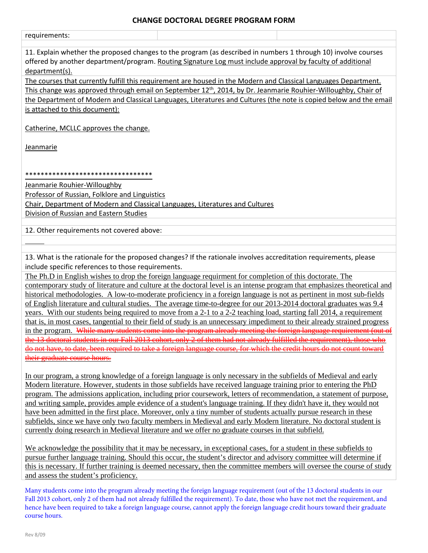#### **CHANGE DOCTORAL DEGREE PROGRAM FORM**

| requirements:                                                                                                                                                                                                                                   |
|-------------------------------------------------------------------------------------------------------------------------------------------------------------------------------------------------------------------------------------------------|
| 11. Explain whether the proposed changes to the program (as described in numbers 1 through 10) involve courses<br>offered by another department/program. Routing Signature Log must include approval by faculty of additional<br>department(s). |
| The courses that currently fulfill this requirement are housed in the Modern and Classical Languages Department.                                                                                                                                |
| This change was approved through email on September 12 <sup>th</sup> , 2014, by Dr. Jeanmarie Rouhier-Willoughby, Chair of                                                                                                                      |
| the Department of Modern and Classical Languages, Literatures and Cultures (the note is copied below and the email                                                                                                                              |
|                                                                                                                                                                                                                                                 |
| is attached to this document):                                                                                                                                                                                                                  |
| Catherine, MCLLC approves the change.                                                                                                                                                                                                           |
| <b>Jeanmarie</b>                                                                                                                                                                                                                                |
|                                                                                                                                                                                                                                                 |
| *********************************                                                                                                                                                                                                               |
| Jeanmarie Rouhier-Willoughby                                                                                                                                                                                                                    |
|                                                                                                                                                                                                                                                 |
| Professor of Russian, Folklore and Linguistics                                                                                                                                                                                                  |
| Chair, Department of Modern and Classical Languages, Literatures and Cultures                                                                                                                                                                   |
| Division of Russian and Eastern Studies                                                                                                                                                                                                         |
| 12. Other requirements not covered above:                                                                                                                                                                                                       |
|                                                                                                                                                                                                                                                 |
|                                                                                                                                                                                                                                                 |
| 13. What is the rationale for the proposed changes? If the rationale involves accreditation requirements, please                                                                                                                                |
| include specific references to those requirements.                                                                                                                                                                                              |
| The Ph.D in English wishes to drop the foreign language requirment for completion of this doctorate. The                                                                                                                                        |
|                                                                                                                                                                                                                                                 |
| contemporary study of literature and culture at the doctoral level is an intense program that emphasizes theoretical and                                                                                                                        |
|                                                                                                                                                                                                                                                 |
| historical methodologies. A low-to-moderate proficiency in a foreign language is not as pertinent in most sub-fields                                                                                                                            |
| of English literature and cultural studies. The average time-to-degree for our 2013-2014 doctoral graduates was 9.4                                                                                                                             |
| years. With our students being required to move from a 2-1 to a 2-2 teaching load, starting fall 2014, a requirement                                                                                                                            |
| that is, in most cases, tangential to their field of study is an unnecessary impediment to their already strained progress                                                                                                                      |
| in the program. While many students come into the program already meeting the foreign language requirement (out of                                                                                                                              |
|                                                                                                                                                                                                                                                 |
| <del>or them had not already furnited the requirement), those who</del>                                                                                                                                                                         |
|                                                                                                                                                                                                                                                 |
| graduate course hours.                                                                                                                                                                                                                          |
|                                                                                                                                                                                                                                                 |
| In our program, a strong knowledge of a foreign language is only necessary in the subfields of Medieval and early                                                                                                                               |
| Modern literature. However, students in those subfields have received language training prior to entering the PhD                                                                                                                               |
| program. The admissions application, including prior coursework, letters of recommendation, a statement of purpose,                                                                                                                             |
| and writing sample, provides ample evidence of a student's language training. If they didn't have it, they would not                                                                                                                            |
| have been admitted in the first place. Moreover, only a tiny number of students actually pursue research in these                                                                                                                               |
| subfields, since we have only two faculty members in Medieval and early Modern literature. No doctoral student is                                                                                                                               |
| currently doing research in Medieval literature and we offer no graduate courses in that subfield.                                                                                                                                              |
|                                                                                                                                                                                                                                                 |
| We acknowledge the possibility that it may be necessary, in exceptional cases, for a student in these subfields to                                                                                                                              |
| pursue further language training. Should this occur, the student's director and advisory committee will determine if                                                                                                                            |
| this is necessary. If further training is deemed necessary, then the committee members will oversee the course of study<br>and assess the student's proficiency.                                                                                |

Many students come into the program already meeting the foreign language requirement (out of the 13 doctoral students in our Fall 2013 cohort, only 2 of them had not already fulfilled the requirement). To date, those who have not met the requirement, and hence have been required to take a foreign language course, cannot apply the foreign language credit hours toward their graduate course hours.